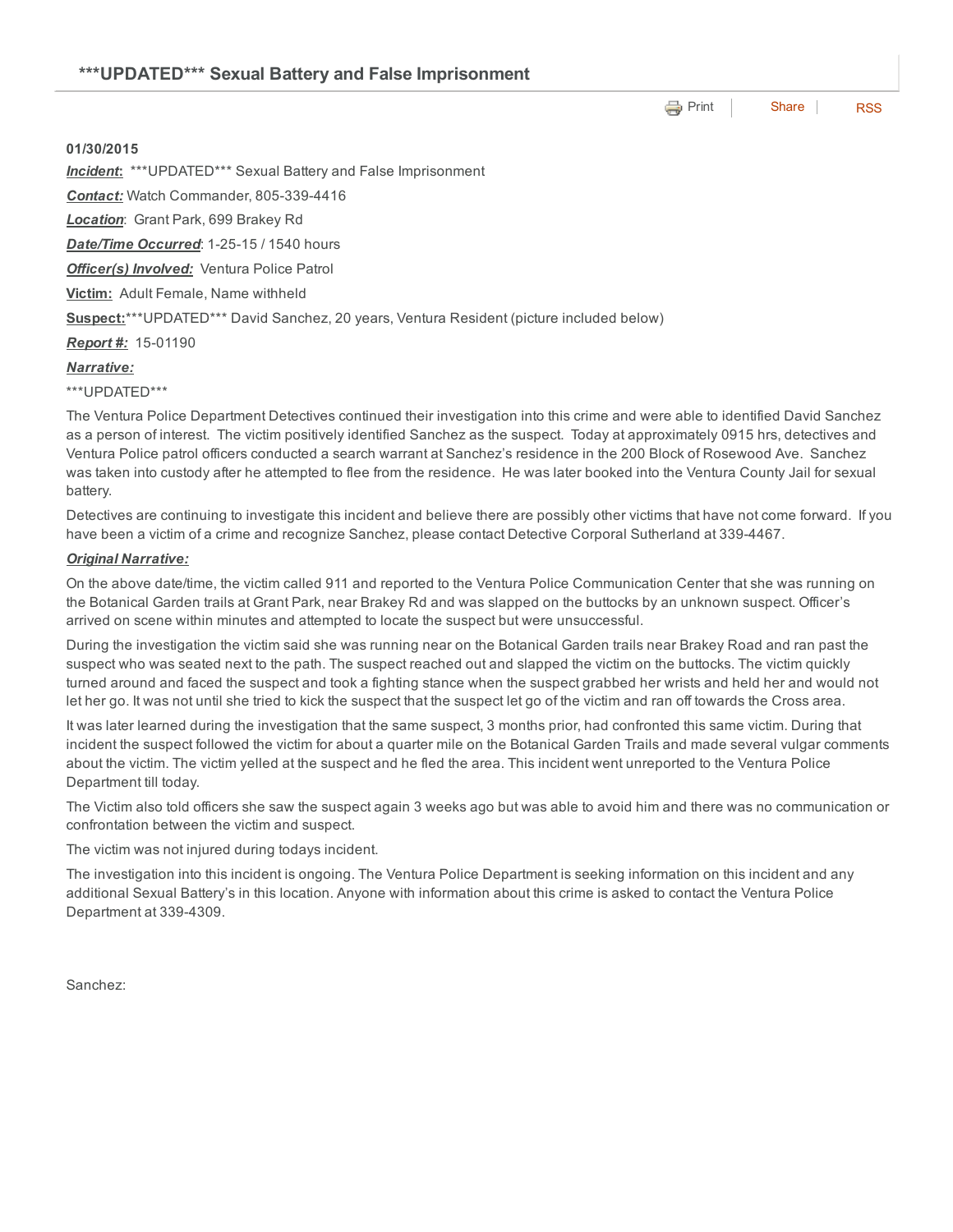# **e** [Print](http://www.cityofventura.net/print/16478) | [Share](javascript:void(0)) | [RSS](http://www.cityofventura.net/feed/press_release/rss.xml)

## 01/30/2015

*Incident*: \*\*\*UPDATED\*\*\* Sexual Battery and False Imprisonment

**Contact:** Watch Commander, 805-339-4416

*Location*: Grant Park, 699 Brakey Rd

**Date/Time Occurred: 1-25-15 / 1540 hours** 

*Officer(s) Involved:* Ventura Police Patrol

Victim: Adult Female, Name withheld

Suspect:\*\*\*UPDATED\*\*\* David Sanchez, 20 years, Ventura Resident (picture included below)

**Report #:** 15-01190

### *Narrative:*

\*\*\*UPDATED\*\*\*

The Ventura Police Department Detectives continued their investigation into this crime and were able to identified David Sanchez as a person of interest. The victim positively identified Sanchez as the suspect. Today at approximately 0915 hrs, detectives and Ventura Police patrol officers conducted a search warrant at Sanchez's residence in the 200 Block of Rosewood Ave. Sanchez was taken into custody after he attempted to flee from the residence. He was later booked into the Ventura County Jail for sexual battery.

Detectives are continuing to investigate this incident and believe there are possibly other victims that have not come forward. If you have been a victim of a crime and recognize Sanchez, please contact Detective Corporal Sutherland at 339-4467.

#### *Original Narrative:*

On the above date/time, the victim called 911 and reported to the Ventura Police Communication Center that she was running on the Botanical Garden trails at Grant Park, near Brakey Rd and was slapped on the buttocks by an unknown suspect. Officer's arrived on scene within minutes and attempted to locate the suspect but were unsuccessful.

During the investigation the victim said she was running near on the Botanical Garden trails near Brakey Road and ran past the suspect who was seated next to the path. The suspect reached out and slapped the victim on the buttocks. The victim quickly turned around and faced the suspect and took a fighting stance when the suspect grabbed her wrists and held her and would not let her go. It was not until she tried to kick the suspect that the suspect let go of the victim and ran off towards the Cross area.

It was later learned during the investigation that the same suspect, 3 months prior, had confronted this same victim. During that incident the suspect followed the victim for about a quarter mile on the Botanical Garden Trails and made several vulgar comments about the victim. The victim yelled at the suspect and he fled the area. This incident went unreported to the Ventura Police Department till today.

The Victim also told officers she saw the suspect again 3 weeks ago but was able to avoid him and there was no communication or confrontation between the victim and suspect.

The victim was not injured during todays incident.

The investigation into this incident is ongoing. The Ventura Police Department is seeking information on this incident and any additional Sexual Battery's in this location. Anyone with information about this crime is asked to contact the Ventura Police Department at 339-4309.

Sanchez: